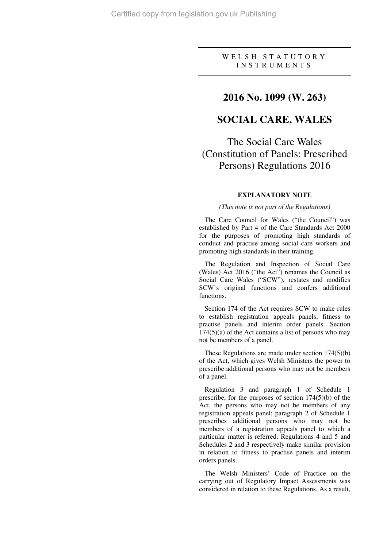### WELSH STATUTORY I N S T R U M E N T S

## **2016 No. 1099 (W. 263)**

## **SOCIAL CARE, WALES**

The Social Care Wales (Constitution of Panels: Prescribed Persons) Regulations 2016

#### **EXPLANATORY NOTE**

#### *(This note is not part of the Regulations)*

The Care Council for Wales ("the Council") was established by Part 4 of the Care Standards Act 2000 for the purposes of promoting high standards of conduct and practise among social care workers and promoting high standards in their training.

The Regulation and Inspection of Social Care (Wales) Act 2016 ("the Act") renames the Council as Social Care Wales ("SCW"), restates and modifies SCW's original functions and confers additional functions.

Section 174 of the Act requires SCW to make rules to establish registration appeals panels, fitness to practise panels and interim order panels. Section  $174(5)(a)$  of the Act contains a list of persons who may not be members of a panel.

These Regulations are made under section 174(5)(b) of the Act, which gives Welsh Ministers the power to prescribe additional persons who may not be members of a panel.

Regulation 3 and paragraph 1 of Schedule 1 prescribe, for the purposes of section 174(5)(b) of the Act, the persons who may not be members of any registration appeals panel; paragraph 2 of Schedule 1 prescribes additional persons who may not be members of a registration appeals panel to which a particular matter is referred. Regulations 4 and 5 and Schedules 2 and 3 respectively make similar provision in relation to fitness to practise panels and interim orders panels.

The Welsh Ministers' Code of Practice on the carrying out of Regulatory Impact Assessments was considered in relation to these Regulations. As a result,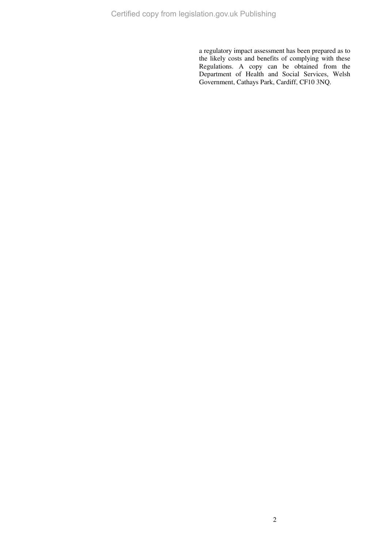a regulatory impact assessment has been prepared as to the likely costs and benefits of complying with these Regulations. A copy can be obtained from the Department of Health and Social Services, Welsh Government, Cathays Park, Cardiff, CF10 3NQ.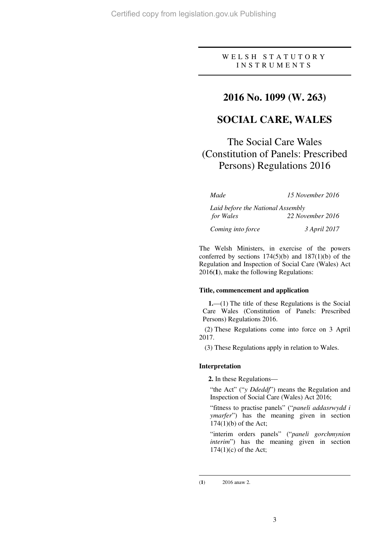### W E L S H S T A T U T O R Y I N S T R U M E N T S

## **2016 No. 1099 (W. 263)**

## **SOCIAL CARE, WALES**

# The Social Care Wales (Constitution of Panels: Prescribed Persons) Regulations 2016

| Made                              | 15 November 2016 |
|-----------------------------------|------------------|
| Laid before the National Assembly |                  |
| for Wales                         | 22 November 2016 |
| Coming into force                 | 3 April 2017     |

The Welsh Ministers, in exercise of the powers conferred by sections  $174(5)(b)$  and  $187(1)(b)$  of the Regulation and Inspection of Social Care (Wales) Act 2016(**1**), make the following Regulations:

#### **Title, commencement and application**

**1.**—(1) The title of these Regulations is the Social Care Wales (Constitution of Panels: Prescribed Persons) Regulations 2016.

(2) These Regulations come into force on 3 April 2017.

(3) These Regulations apply in relation to Wales.

#### **Interpretation**

**2.** In these Regulations—

"the Act" ("*y Ddeddf*") means the Regulation and Inspection of Social Care (Wales) Act 2016;

"fitness to practise panels" ("*paneli addasrwydd i ymarfer*") has the meaning given in section 174(1)(b) of the Act;

"interim orders panels" ("*paneli gorchmynion interim*") has the meaning given in section  $174(1)(c)$  of the Act;

 $\overline{a}$ (**1**) 2016 anaw 2.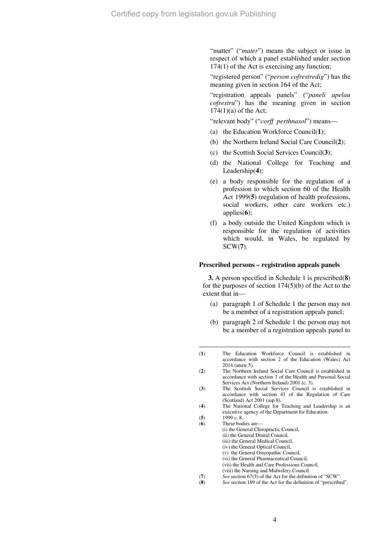"matter" ("*mater*") means the subject or issue in respect of which a panel established under section 174(1) of the Act is exercising any function;

"registered person" ("*person cofrestredig*") has the meaning given in section 164 of the Act;

"registration appeals panels" ("*paneli apelau cofrestru*") has the meaning given in section  $174(1)(a)$  of the Act;

"relevant body" ("*corff perthnasol*") means—

- (a) the Education Workforce Council(**1**);
- (b) the Northern Ireland Social Care Council(**2**);
- (c) the Scottish Social Services Council(**3**);
- (d) the National College for Teaching and Leadership(**4**);
- (e) a body responsible for the regulation of a profession to which section 60 of the Health Act 1999(**5**) (regulation of health professions, social workers, other care workers etc.) applies(**6**);
- (f) a body outside the United Kingdom which is responsible for the regulation of activities which would, in Wales, be regulated by SCW(**7**).

#### **Prescribed persons – registration appeals panels**

**3.** A person specified in Schedule 1 is prescribed(**8**) for the purposes of section  $174(5)(b)$  of the Act to the extent that in—

- (a) paragraph 1 of Schedule 1 the person may not be a member of a registration appeals panel;
- (b) paragraph 2 of Schedule 1 the person may not be a member of a registration appeals panel to
- (**1**) The Education Workforce Council is established in accordance with section 2 of the Education (Wales) Act 2014 (anaw 5).

 $\overline{a}$ 

- (**6**) These bodies are— (i) the General Chiropractic Council, (ii) the General Dental Council, (iii) the General Medical Council, (iv) the General Optical Council,
	- (v) the General Osteopathic Council,
	- (vi) the General Pharmaceutical Council,
	- (vii) the Health and Care Professions Council,
	- (viii) the Nursing and Midwifery Council.
- (**7**) *See* section 67(3) of the Act for the definition of "SCW".
- (**8**) *See* section 189 of the Act for the definition of "prescribed".

<sup>(</sup>**2**) The Northern Ireland Social Care Council is established in accordance with section 1 of the Health and Personal Social Services Act (Northern Ireland) 2001 (c. 3).

<sup>(</sup>**3**) The Scottish Social Services Council is established in accordance with section 43 of the Regulation of Care (Scotland) Act 2001 (asp 8).

<sup>(</sup>**4**) The National College for Teaching and Leadership is an executive agency of the Department for Education.

<sup>(</sup>**5**) 1999 c. 8.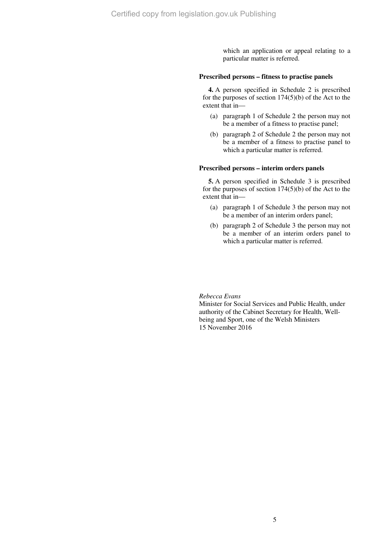which an application or appeal relating to a particular matter is referred.

#### **Prescribed persons – fitness to practise panels**

**4.** A person specified in Schedule 2 is prescribed for the purposes of section  $174(5)(b)$  of the Act to the extent that in—

- (a) paragraph 1 of Schedule 2 the person may not be a member of a fitness to practise panel;
- (b) paragraph 2 of Schedule 2 the person may not be a member of a fitness to practise panel to which a particular matter is referred.

#### **Prescribed persons – interim orders panels**

**5.** A person specified in Schedule 3 is prescribed for the purposes of section  $174(5)(b)$  of the Act to the extent that in—

- (a) paragraph 1 of Schedule 3 the person may not be a member of an interim orders panel;
- (b) paragraph 2 of Schedule 3 the person may not be a member of an interim orders panel to which a particular matter is referred.

#### *Rebecca Evans*

Minister for Social Services and Public Health, under authority of the Cabinet Secretary for Health, Wellbeing and Sport, one of the Welsh Ministers 15 November 2016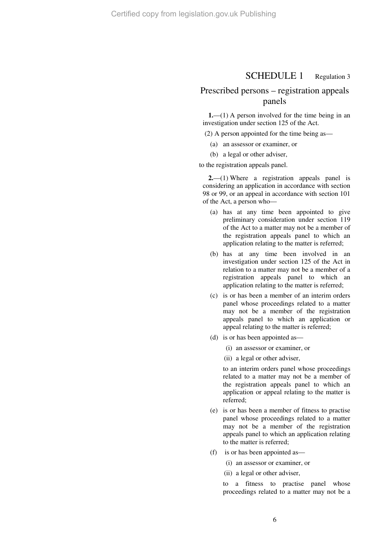### SCHEDULE 1 Regulation 3

## Prescribed persons – registration appeals panels

**1.**—(1) A person involved for the time being in an investigation under section 125 of the Act.

(2) A person appointed for the time being as—

- (a) an assessor or examiner, or
- (b) a legal or other adviser,

to the registration appeals panel.

**2.**—(1) Where a registration appeals panel is considering an application in accordance with section 98 or 99, or an appeal in accordance with section 101 of the Act, a person who—

- (a) has at any time been appointed to give preliminary consideration under section 119 of the Act to a matter may not be a member of the registration appeals panel to which an application relating to the matter is referred;
- (b) has at any time been involved in an investigation under section 125 of the Act in relation to a matter may not be a member of a registration appeals panel to which an application relating to the matter is referred;
- (c) is or has been a member of an interim orders panel whose proceedings related to a matter may not be a member of the registration appeals panel to which an application or appeal relating to the matter is referred;
- (d) is or has been appointed as—
	- (i) an assessor or examiner, or
	- (ii) a legal or other adviser,

to an interim orders panel whose proceedings related to a matter may not be a member of the registration appeals panel to which an application or appeal relating to the matter is referred;

- (e) is or has been a member of fitness to practise panel whose proceedings related to a matter may not be a member of the registration appeals panel to which an application relating to the matter is referred;
- (f) is or has been appointed as—
	- (i) an assessor or examiner, or
	- (ii) a legal or other adviser,

to a fitness to practise panel whose proceedings related to a matter may not be a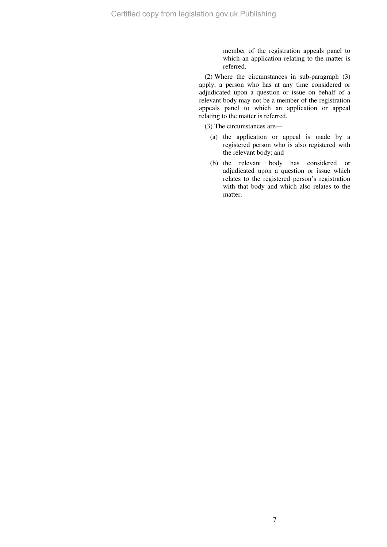member of the registration appeals panel to which an application relating to the matter is referred.

(2) Where the circumstances in sub-paragraph (3) apply, a person who has at any time considered or adjudicated upon a question or issue on behalf of a relevant body may not be a member of the registration appeals panel to which an application or appeal relating to the matter is referred.

(3) The circumstances are—

- (a) the application or appeal is made by a registered person who is also registered with the relevant body; and
- (b) the relevant body has considered or adjudicated upon a question or issue which relates to the registered person's registration with that body and which also relates to the matter.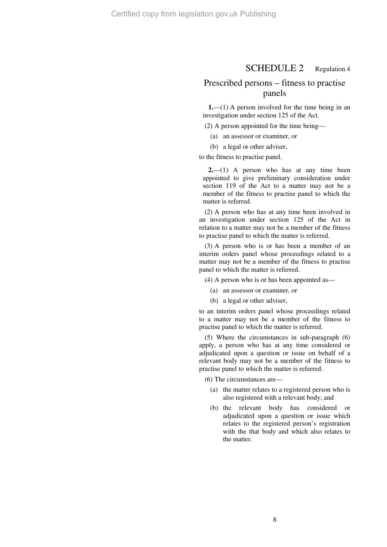### SCHEDULE 2 Regulation 4

### Prescribed persons – fitness to practise panels

**1.**—(1) A person involved for the time being in an investigation under section 125 of the Act.

(2) A person appointed for the time being—

(a) an assessor or examiner, or

(b) a legal or other adviser,

to the fitness to practise panel.

**2.**—(1) A person who has at any time been appointed to give preliminary consideration under section 119 of the Act to a matter may not be a member of the fitness to practise panel to which the matter is referred.

(2) A person who has at any time been involved in an investigation under section 125 of the Act in relation to a matter may not be a member of the fitness to practise panel to which the matter is referred.

(3) A person who is or has been a member of an interim orders panel whose proceedings related to a matter may not be a member of the fitness to practise panel to which the matter is referred.

(4) A person who is or has been appointed as—

(a) an assessor or examiner, or

(b) a legal or other adviser,

to an interim orders panel whose proceedings related to a matter may not be a member of the fitness to practise panel to which the matter is referred.

(5) Where the circumstances in sub-paragraph (6) apply, a person who has at any time considered or adjudicated upon a question or issue on behalf of a relevant body may not be a member of the fitness to practise panel to which the matter is referred.

(6) The circumstances are—

- (a) the matter relates to a registered person who is also registered with a relevant body; and
- (b) the relevant body has considered or adjudicated upon a question or issue which relates to the registered person's registration with the that body and which also relates to the matter.